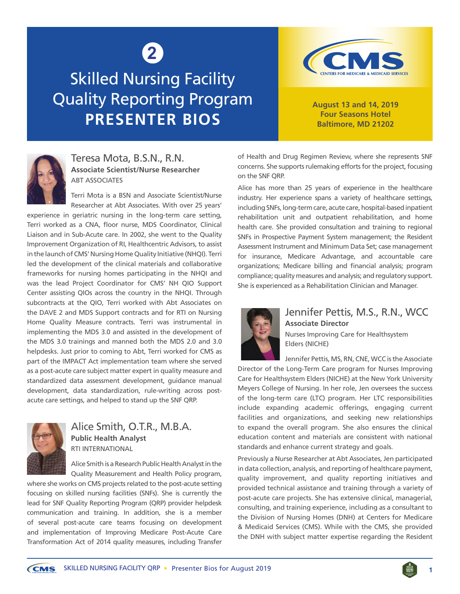# **2**

# Skilled Nursing Facility Quality Reporting Program **PRESENTER BIOS**



**August 13 and 14, 2019 Four Seasons Hotel Baltimore, MD 21202**



#### Teresa Mota, B.S.N., R.N. **Associate Scientist/Nurse Researcher** ABT ASSOCIATES

Terri Mota is a BSN and Associate Scientist/Nurse Researcher at Abt Associates. With over 25 years'

experience in geriatric nursing in the long-term care setting, Terri worked as a CNA, floor nurse, MDS Coordinator, Clinical Liaison and in Sub-Acute care. In 2002, she went to the Quality Improvement Organization of RI, Healthcentric Advisors, to assist in the launch of CMS' Nursing Home Quality Initiative (NHQI). Terri led the development of the clinical materials and collaborative frameworks for nursing homes participating in the NHQI and was the lead Project Coordinator for CMS' NH QIO Support Center assisting QIOs across the country in the NHQI. Through subcontracts at the QIO, Terri worked with Abt Associates on the DAVE 2 and MDS Support contracts and for RTI on Nursing Home Quality Measure contracts. Terri was instrumental in implementing the MDS 3.0 and assisted in the development of the MDS 3.0 trainings and manned both the MDS 2.0 and 3.0 helpdesks. Just prior to coming to Abt, Terri worked for CMS as part of the IMPACT Act implementation team where she served as a post-acute care subject matter expert in quality measure and standardized data assessment development, guidance manual development, data standardization, rule-writing across postacute care settings, and helped to stand up the SNF QRP.



## Alice Smith, O.T.R., M.B.A. **Public Health Analyst** RTI INTERNATIONAL

Alice Smith is a Research Public Health Analyst in the Quality Measurement and Health Policy program,

where she works on CMS projects related to the post-acute setting focusing on skilled nursing facilities (SNFs). She is currently the lead for SNF Quality Reporting Program (QRP) provider helpdesk communication and training. In addition, she is a member of several post-acute care teams focusing on development and implementation of Improving Medicare Post-Acute Care Transformation Act of 2014 quality measures, including Transfer of Health and Drug Regimen Review, where she represents SNF concerns. She supports rulemaking efforts for the project, focusing on the SNF QRP.

Alice has more than 25 years of experience in the healthcare industry. Her experience spans a variety of healthcare settings, including SNFs, long-term care, acute care, hospital-based inpatient rehabilitation unit and outpatient rehabilitation, and home health care. She provided consultation and training to regional SNFs in Prospective Payment System management; the Resident Assessment Instrument and Minimum Data Set; case management for insurance, Medicare Advantage, and accountable care organizations; Medicare billing and financial analysis; program compliance; quality measures and analysis; and regulatory support. She is experienced as a Rehabilitation Clinician and Manager.



#### Jennifer Pettis, M.S., R.N., WCC **Associate Director**  Nurses Improving Care for Healthsystem

Elders (NICHE)

Jennifer Pettis, MS, RN, CNE, WCC is the Associate Director of the Long-Term Care program for Nurses Improving Care for Healthsystem Elders (NICHE) at the New York University Meyers College of Nursing. In her role, Jen oversees the success of the long-term care (LTC) program. Her LTC responsibilities include expanding academic offerings, engaging current facilities and organizations, and seeking new relationships to expand the overall program. She also ensures the clinical education content and materials are consistent with national standards and enhance current strategy and goals.

Previously a Nurse Researcher at Abt Associates, Jen participated in data collection, analysis, and reporting of healthcare payment, quality improvement, and quality reporting initiatives and provided technical assistance and training through a variety of post-acute care projects. She has extensive clinical, managerial, consulting, and training experience, including as a consultant to the Division of Nursing Homes (DNH) at Centers for Medicare & Medicaid Services (CMS). While with the CMS, she provided the DNH with subject matter expertise regarding the Resident